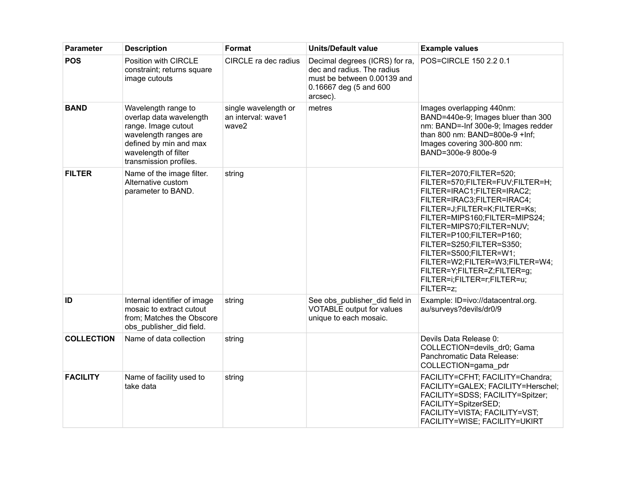| <b>Parameter</b>  | <b>Description</b>                                                                                                                                                         | Format                                              | <b>Units/Default value</b>                                                                                                        | <b>Example values</b>                                                                                                                                                                                                                                                                                                                                                                                               |
|-------------------|----------------------------------------------------------------------------------------------------------------------------------------------------------------------------|-----------------------------------------------------|-----------------------------------------------------------------------------------------------------------------------------------|---------------------------------------------------------------------------------------------------------------------------------------------------------------------------------------------------------------------------------------------------------------------------------------------------------------------------------------------------------------------------------------------------------------------|
| <b>POS</b>        | Position with CIRCLE<br>constraint; returns square<br>image cutouts                                                                                                        | CIRCLE ra dec radius                                | Decimal degrees (ICRS) for ra,<br>dec and radius. The radius<br>must be between 0.00139 and<br>0.16667 deg (5 and 600<br>arcsec). | POS=CIRCLE 150 2.2 0.1                                                                                                                                                                                                                                                                                                                                                                                              |
| <b>BAND</b>       | Wavelength range to<br>overlap data wavelength<br>range. Image cutout<br>wavelength ranges are<br>defined by min and max<br>wavelength of filter<br>transmission profiles. | single wavelength or<br>an interval: wave1<br>wave2 | metres                                                                                                                            | Images overlapping 440nm:<br>BAND=440e-9; Images bluer than 300<br>nm: BAND=-Inf 300e-9; Images redder<br>than 800 nm: BAND=800e-9 +Inf;<br>Images covering 300-800 nm:<br>BAND=300e-9 800e-9                                                                                                                                                                                                                       |
| <b>FILTER</b>     | Name of the image filter.<br>Alternative custom<br>parameter to BAND.                                                                                                      | string                                              |                                                                                                                                   | FILTER=2070;FILTER=520;<br>FILTER=570;FILTER=FUV;FILTER=H;<br>FILTER=IRAC1;FILTER=IRAC2;<br>FILTER=IRAC3;FILTER=IRAC4;<br>FILTER=J;FILTER=K;FILTER=Ks;<br>FILTER=MIPS160;FILTER=MIPS24;<br>FILTER=MIPS70;FILTER=NUV;<br>FILTER=P100;FILTER=P160;<br>FILTER=S250;FILTER=S350;<br>FILTER=S500;FILTER=W1;<br>FILTER=W2;FILTER=W3;FILTER=W4;<br>FILTER=Y;FILTER=Z;FILTER=g;<br>FILTER=i;FILTER=r;FILTER=u;<br>FILTER=z; |
| ID                | Internal identifier of image<br>mosaic to extract cutout<br>from; Matches the Obscore<br>obs_publisher_did field.                                                          | string                                              | See obs_publisher_did field in<br><b>VOTABLE</b> output for values<br>unique to each mosaic.                                      | Example: ID=ivo://datacentral.org.<br>au/surveys?devils/dr0/9                                                                                                                                                                                                                                                                                                                                                       |
| <b>COLLECTION</b> | Name of data collection                                                                                                                                                    | string                                              |                                                                                                                                   | Devils Data Release 0:<br>COLLECTION=devils_dr0; Gama<br>Panchromatic Data Release:<br>COLLECTION=gama_pdr                                                                                                                                                                                                                                                                                                          |
| <b>FACILITY</b>   | Name of facility used to<br>take data                                                                                                                                      | string                                              |                                                                                                                                   | FACILITY=CFHT; FACILITY=Chandra;<br>FACILITY=GALEX; FACILITY=Herschel;<br>FACILITY=SDSS; FACILITY=Spitzer;<br>FACILITY=SpitzerSED;<br>FACILITY=VISTA; FACILITY=VST;<br>FACILITY=WISE; FACILITY=UKIRT                                                                                                                                                                                                                |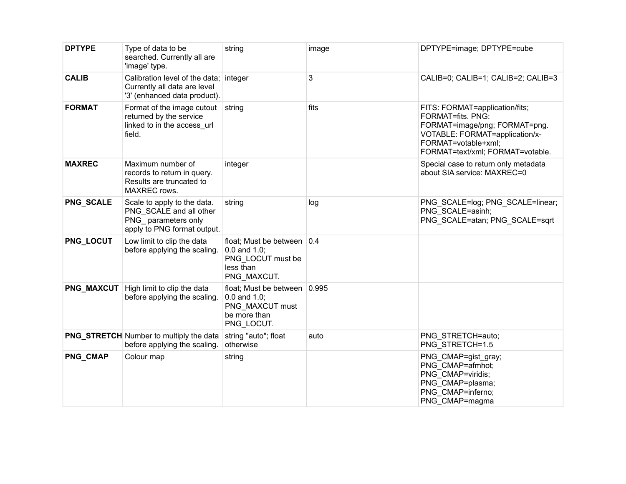| <b>DPTYPE</b>     | Type of data to be<br>searched. Currently all are<br>'image' type.                                           | string                                                                                             | image | DPTYPE=image; DPTYPE=cube                                                                                                                                                         |
|-------------------|--------------------------------------------------------------------------------------------------------------|----------------------------------------------------------------------------------------------------|-------|-----------------------------------------------------------------------------------------------------------------------------------------------------------------------------------|
| <b>CALIB</b>      | Calibration level of the data; integer<br>Currently all data are level<br>'3' (enhanced data product).       |                                                                                                    | 3     | CALIB=0; CALIB=1; CALIB=2; CALIB=3                                                                                                                                                |
| <b>FORMAT</b>     | Format of the image cutout<br>returned by the service<br>linked to in the access url<br>field.               | string                                                                                             | fits  | FITS: FORMAT=application/fits;<br>FORMAT=fits. PNG:<br>FORMAT=image/png; FORMAT=png.<br>VOTABLE: FORMAT=application/x-<br>FORMAT=votable+xml;<br>FORMAT=text/xml; FORMAT=votable. |
| <b>MAXREC</b>     | Maximum number of<br>records to return in query.<br>Results are truncated to<br>MAXREC rows.                 | integer                                                                                            |       | Special case to return only metadata<br>about SIA service: MAXREC=0                                                                                                               |
| PNG_SCALE         | Scale to apply to the data.<br>PNG SCALE and all other<br>PNG parameters only<br>apply to PNG format output. | string                                                                                             | log   | PNG_SCALE=log; PNG_SCALE=linear;<br>PNG SCALE=asinh;<br>PNG SCALE=atan; PNG SCALE=sqrt                                                                                            |
| PNG_LOCUT         | Low limit to clip the data<br>before applying the scaling.                                                   | float; Must be between   0.4<br>$0.0$ and $1.0$ ;<br>PNG LOCUT must be<br>less than<br>PNG MAXCUT. |       |                                                                                                                                                                                   |
| <b>PNG_MAXCUT</b> | High limit to clip the data<br>before applying the scaling.                                                  | float; Must be between 0.995<br>$0.0$ and $1.0$ ;<br>PNG MAXCUT must<br>be more than<br>PNG_LOCUT. |       |                                                                                                                                                                                   |
|                   | <b>PNG_STRETCH</b> Number to multiply the data<br>before applying the scaling.                               | string "auto"; float<br>otherwise                                                                  | auto  | PNG STRETCH=auto;<br>PNG STRETCH=1.5                                                                                                                                              |
| PNG_CMAP          | Colour map                                                                                                   | string                                                                                             |       | PNG_CMAP=gist_gray;<br>PNG CMAP=afmhot;<br>PNG CMAP=viridis;<br>PNG CMAP=plasma;<br>PNG_CMAP=inferno;<br>PNG CMAP=magma                                                           |